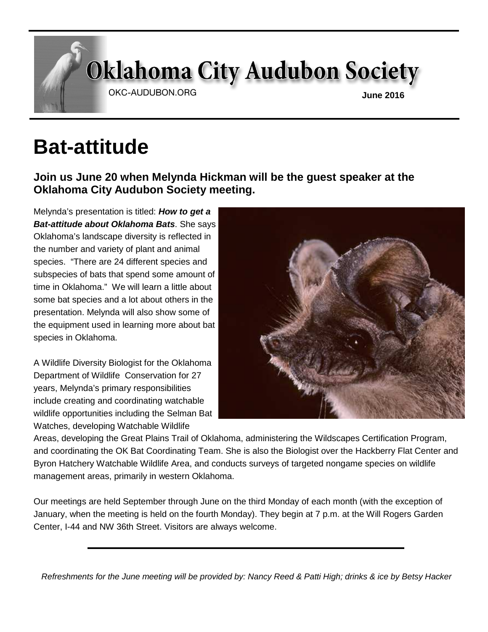# **Oklahoma City Audubon Society**

OKC-AUDUBON.ORG

**June 2016** 

## **Bat-attitude**

**Join us June 20 when Melynda Hickman will be the guest speaker at the Oklahoma City Audubon Society meeting.** 

Melynda's presentation is titled: **How to get a Bat-attitude about Oklahoma Bats**. She says Oklahoma's landscape diversity is reflected in the number and variety of plant and animal species. "There are 24 different species and subspecies of bats that spend some amount of time in Oklahoma." We will learn a little about some bat species and a lot about others in the presentation. Melynda will also show some of the equipment used in learning more about bat species in Oklahoma.

A Wildlife Diversity Biologist for the Oklahoma Department of Wildlife Conservation for 27 years, Melynda's primary responsibilities include creating and coordinating watchable wildlife opportunities including the Selman Bat Watches, developing Watchable Wildlife



Areas, developing the Great Plains Trail of Oklahoma, administering the Wildscapes Certification Program, and coordinating the OK Bat Coordinating Team. She is also the Biologist over the Hackberry Flat Center and Byron Hatchery Watchable Wildlife Area, and conducts surveys of targeted nongame species on wildlife management areas, primarily in western Oklahoma.

Our meetings are held September through June on the third Monday of each month (with the exception of January, when the meeting is held on the fourth Monday). They begin at 7 p.m. at the Will Rogers Garden Center, I-44 and NW 36th Street. Visitors are always welcome.

Refreshments for the June meeting will be provided by: Nancy Reed & Patti High; drinks & ice by Betsy Hacker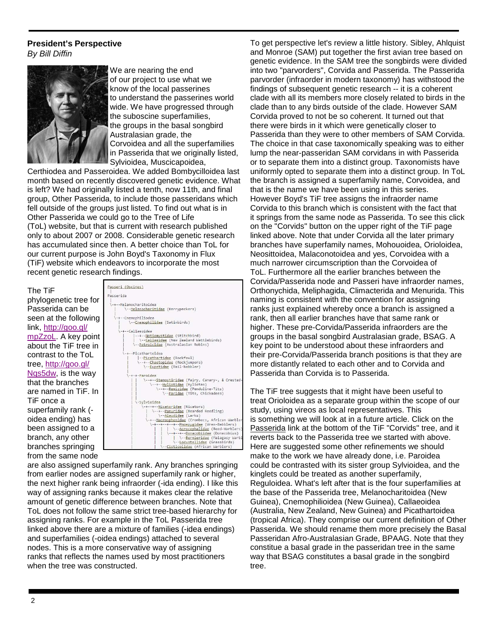#### **President's Perspective**  By Bill Diffin



We are nearing the end of our project to use what we know of the local passerines to understand the passerines world wide. We have progressed through the suboscine superfamilies, the groups in the basal songbird Australasian grade, the Corvoidea and all the superfamilies in Passerida that we originally listed, Sylvioidea, Muscicapoidea,

Certhiodea and Passeroidea. We added Bombycilloidea last month based on recently discovered genetic evidence. What is left? We had originally listed a tenth, now 11th, and final group, Other Passerida, to include those passeridans which fell outside of the groups just listed. To find out what is in Other Passerida we could go to the Tree of Life (ToL) website, but that is current with research published only to about 2007 or 2008. Considerable genetic research has accumulated since then. A better choice than ToL for our current purpose is John Boyd's Taxonomy in Flux (TiF) website which endeavors to incorporate the most recent genetic research findings.

#### The TiF

phylogenetic tree for Passerida can be seen at the following link, http://goo.gl/ mpZzoL. A key point about the TiF tree in contrast to the ToL tree, http://goo.gl/ Nqs5dw, is the way that the branches are named in TiF. In TiF once a superfamily rank ( oidea ending) has been assigned to a branch, any other branches springing from the same node



are also assigned superfamily rank. Any branches springing from earlier nodes are assigned superfamily rank or higher, the next higher rank being infraorder (-ida ending). I like this way of assigning ranks because it makes clear the relative amount of genetic difference between branches. Note that ToL does not follow the same strict tree-based hierarchy for assigning ranks. For example in the ToL Passerida tree linked above there are a mixture of families (-idea endings) and superfamilies (-oidea endings) attached to several nodes. This is a more conservative way of assigning ranks that reflects the names used by most practitioners when the tree was constructed.

To get perspective let's review a little history. Sibley, Ahlquist and Monroe (SAM) put together the first avian tree based on genetic evidence. In the SAM tree the songbirds were divided into two "parvorders", Corvida and Passerida. The Passerida parvorder (infraorder in modern taxonomy) has withstood the findings of subsequent genetic research -- it is a coherent clade with all its members more closely related to birds in the clade than to any birds outside of the clade. However SAM Corvida proved to not be so coherent. It turned out that there were birds in it which were genetically closer to Passerida than they were to other members of SAM Corvida. The choice in that case taxonomically speaking was to either lump the near-passeridan SAM corvidans in with Passerida or to separate them into a distinct group. Taxonomists have uniformly opted to separate them into a distinct group. In ToL the branch is assigned a superfamily name, Corvoidea, and that is the name we have been using in this series. However Boyd's TiF tree assigns the infraorder name Corvida to this branch which is consistent with the fact that it springs from the same node as Passerida. To see this click on the "Corvids" button on the upper right of the TiF page linked above. Note that under Corvida all the later primary branches have superfamily names, Mohouoidea, Orioloidea, Neosittoidea, Malaconotoidea and yes, Corvoidea with a much narrower circumscription than the Corvoidea of ToL. Furthermore all the earlier branches between the Corvida/Passerida node and Passeri have infraorder names, Orthonychida, Meliphagida, Climacterida and Menurida. This naming is consistent with the convention for assigning ranks just explained whereby once a branch is assigned a rank, then all earlier branches have that same rank or higher. These pre-Corvida/Passerida infraorders are the groups in the basal songbird Australasian grade, BSAG. A key point to be understood about these infraorders and their pre-Corvida/Passerida branch positions is that they are more distantly related to each other and to Corvida and Passerida than Corvida is to Passerida.

The TiF tree suggests that it might have been useful to treat Orioloidea as a separate group within the scope of our study, using vireos as local representatives. This is something we will look at in a future article. Click on the Passerida link at the bottom of the TiF "Corvids" tree, and it reverts back to the Passerida tree we started with above. Here are suggested some other refinements we should make to the work we have already done, i.e. Paroidea could be contrasted with its sister group Sylvioidea, and the kinglets could be treated as another superfamily, Reguloidea. What's left after that is the four superfamilies at the base of the Passerida tree, Melanocharitoidea (New Guinea), Cnemophilioidea (New Guinea), Callaeoidea (Australia, New Zealand, New Guinea) and Picathartoidea (tropical Africa). They comprise our current definition of Other Passerida. We should rename them more precisely the Basal Passeridan Afro-Australasian Grade, BPAAG. Note that they constitue a basal grade in the passeridan tree in the same way that BSAG constitutes a basal grade in the songbird tree.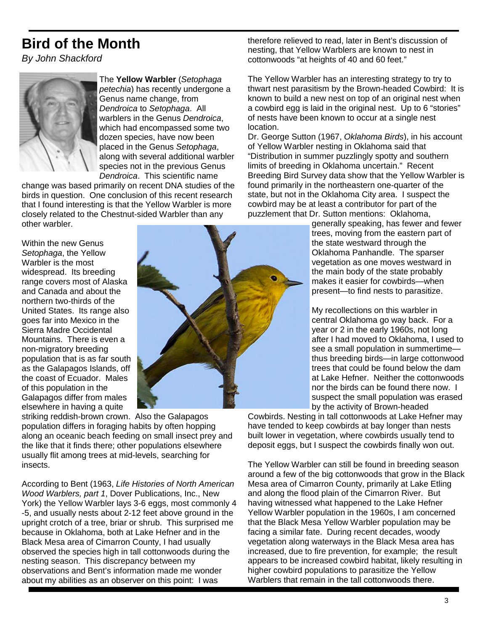## **Bird of the Month**

By John Shackford



The **Yellow Warbler** (Setophaga petechia) has recently undergone a Genus name change, from Dendroica to Setophaga. All warblers in the Genus Dendroica. which had encompassed some two dozen species, have now been placed in the Genus Setophaga, along with several additional warbler species not in the previous Genus Dendroica. This scientific name

change was based primarily on recent DNA studies of the birds in question. One conclusion of this recent research that I found interesting is that the Yellow Warbler is more closely related to the Chestnut-sided Warbler than any other warbler.

Within the new Genus Setophaga, the Yellow Warbler is the most widespread. Its breeding range covers most of Alaska and Canada and about the northern two-thirds of the United States. Its range also goes far into Mexico in the Sierra Madre Occidental Mountains. There is even a non-migratory breeding population that is as far south as the Galapagos Islands, off the coast of Ecuador. Males of this population in the Galapagos differ from males elsewhere in having a quite



therefore relieved to read, later in Bent's discussion of nesting, that Yellow Warblers are known to nest in cottonwoods "at heights of 40 and 60 feet."

The Yellow Warbler has an interesting strategy to try to thwart nest parasitism by the Brown-headed Cowbird: It is known to build a new nest on top of an original nest when a cowbird egg is laid in the original nest. Up to 6 "stories" of nests have been known to occur at a single nest location.

Dr. George Sutton (1967, Oklahoma Birds), in his account of Yellow Warbler nesting in Oklahoma said that "Distribution in summer puzzlingly spotty and southern limits of breeding in Oklahoma uncertain." Recent Breeding Bird Survey data show that the Yellow Warbler is found primarily in the northeastern one-quarter of the state, but not in the Oklahoma City area. I suspect the cowbird may be at least a contributor for part of the puzzlement that Dr. Sutton mentions: Oklahoma,

generally speaking, has fewer and fewer trees, moving from the eastern part of the state westward through the Oklahoma Panhandle. The sparser vegetation as one moves westward in the main body of the state probably makes it easier for cowbirds—when present—to find nests to parasitize.

My recollections on this warbler in central Oklahoma go way back. For a year or 2 in the early 1960s, not long after I had moved to Oklahoma, I used to see a small population in summertime thus breeding birds—in large cottonwood trees that could be found below the dam at Lake Hefner. Neither the cottonwoods nor the birds can be found there now. I suspect the small population was erased by the activity of Brown-headed

Cowbirds. Nesting in tall cottonwoods at Lake Hefner may have tended to keep cowbirds at bay longer than nests built lower in vegetation, where cowbirds usually tend to deposit eggs, but I suspect the cowbirds finally won out.

The Yellow Warbler can still be found in breeding season around a few of the big cottonwoods that grow in the Black Mesa area of Cimarron County, primarily at Lake Etling and along the flood plain of the Cimarron River. But having witnessed what happened to the Lake Hefner Yellow Warbler population in the 1960s, I am concerned that the Black Mesa Yellow Warbler population may be facing a similar fate. During recent decades, woody vegetation along waterways in the Black Mesa area has increased, due to fire prevention, for example; the result appears to be increased cowbird habitat, likely resulting in higher cowbird populations to parasitize the Yellow Warblers that remain in the tall cottonwoods there.

striking reddish-brown crown. Also the Galapagos population differs in foraging habits by often hopping along an oceanic beach feeding on small insect prey and the like that it finds there; other populations elsewhere usually flit among trees at mid-levels, searching for insects.

According to Bent (1963, Life Histories of North American Wood Warblers, part 1, Dover Publications, Inc., New York) the Yellow Warbler lays 3-6 eggs, most commonly 4 -5, and usually nests about 2-12 feet above ground in the upright crotch of a tree, briar or shrub. This surprised me because in Oklahoma, both at Lake Hefner and in the Black Mesa area of Cimarron County, I had usually observed the species high in tall cottonwoods during the nesting season. This discrepancy between my observations and Bent's information made me wonder about my abilities as an observer on this point: I was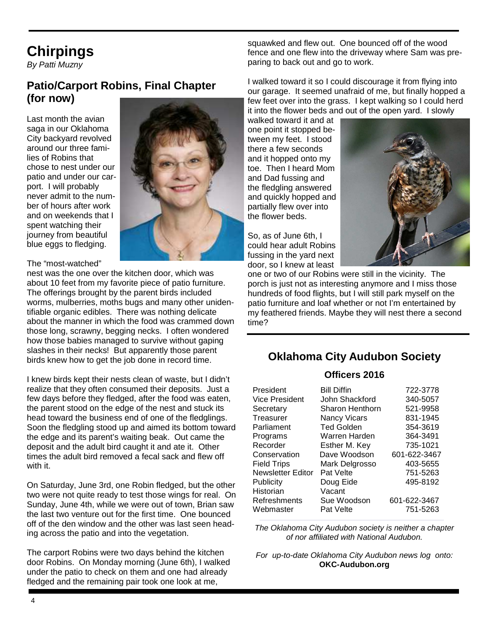## **Chirpings**

By Patti Muzny

#### **Patio/Carport Robins, Final Chapter (for now)**

Last month the avian saga in our Oklahoma City backyard revolved around our three families of Robins that chose to nest under our patio and under our carport. I will probably never admit to the number of hours after work and on weekends that I spent watching their journey from beautiful blue eggs to fledging.

#### The "most-watched"

nest was the one over the kitchen door, which was about 10 feet from my favorite piece of patio furniture. The offerings brought by the parent birds included worms, mulberries, moths bugs and many other unidentifiable organic edibles. There was nothing delicate about the manner in which the food was crammed down those long, scrawny, begging necks. I often wondered how those babies managed to survive without gaping slashes in their necks! But apparently those parent birds knew how to get the job done in record time.

I knew birds kept their nests clean of waste, but I didn't realize that they often consumed their deposits. Just a few days before they fledged, after the food was eaten, the parent stood on the edge of the nest and stuck its head toward the business end of one of the fledglings. Soon the fledgling stood up and aimed its bottom toward the edge and its parent's waiting beak. Out came the deposit and the adult bird caught it and ate it. Other times the adult bird removed a fecal sack and flew off with it.

On Saturday, June 3rd, one Robin fledged, but the other two were not quite ready to test those wings for real. On Sunday, June 4th, while we were out of town, Brian saw the last two venture out for the first time. One bounced off of the den window and the other was last seen heading across the patio and into the vegetation.

The carport Robins were two days behind the kitchen door Robins. On Monday morning (June 6th), I walked under the patio to check on them and one had already fledged and the remaining pair took one look at me,

squawked and flew out. One bounced off of the wood fence and one flew into the driveway where Sam was preparing to back out and go to work.

I walked toward it so I could discourage it from flying into our garage. It seemed unafraid of me, but finally hopped a few feet over into the grass. I kept walking so I could herd it into the flower beds and out of the open yard. I slowly

walked toward it and at one point it stopped between my feet. I stood there a few seconds and it hopped onto my toe. Then I heard Mom and Dad fussing and the fledgling answered and quickly hopped and partially flew over into the flower beds.

So, as of June 6th, I could hear adult Robins fussing in the yard next door, so I knew at least



one or two of our Robins were still in the vicinity. The porch is just not as interesting anymore and I miss those hundreds of food flights, but I will still park myself on the patio furniture and loaf whether or not I'm entertained by my feathered friends. Maybe they will nest there a second time?

#### **Oklahoma City Audubon Society**

#### **Officers 2016**

| President          | <b>Bill Diffin</b>  | 722-3778     |
|--------------------|---------------------|--------------|
| Vice President     | John Shackford      | 340-5057     |
| Secretary          | Sharon Henthorn     | 521-9958     |
| Treasurer          | <b>Nancy Vicars</b> | 831-1945     |
| Parliament         | <b>Ted Golden</b>   | 354-3619     |
| Programs           | Warren Harden       | 364-3491     |
| Recorder           | Esther M. Key       | 735-1021     |
| Conservation       | Dave Woodson        | 601-622-3467 |
| <b>Field Trips</b> | Mark Delgrosso      | 403-5655     |
| Newsletter Editor  | Pat Velte           | 751-5263     |
| Publicity          | Doug Eide           | 495-8192     |
| Historian          | Vacant              |              |
| Refreshments       | Sue Woodson         | 601-622-3467 |
| Webmaster          | Pat Velte           | 751-5263     |

The Oklahoma City Audubon society is neither a chapter of nor affiliated with National Audubon.

For up-to-date Oklahoma City Audubon news log onto: **OKC-Audubon.org**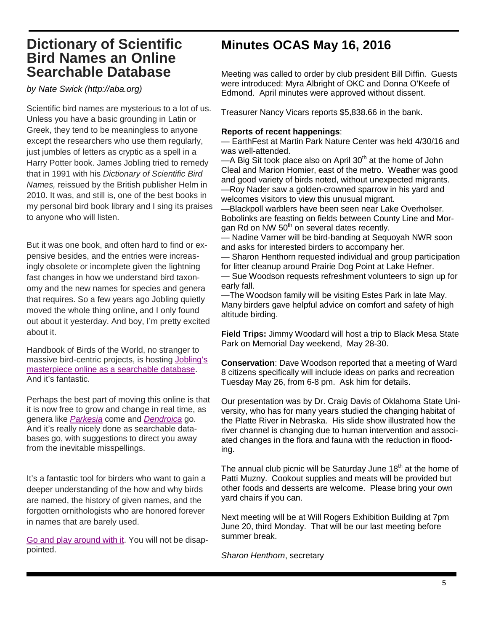### **Dictionary of Scientific Bird Names an Online Searchable Database**

by Nate Swick (http://aba.org)

Scientific bird names are mysterious to a lot of us. Unless you have a basic grounding in Latin or Greek, they tend to be meaningless to anyone except the researchers who use them regularly, just jumbles of letters as cryptic as a spell in a Harry Potter book. James Jobling tried to remedy that in 1991 with his Dictionary of Scientific Bird Names, reissued by the British publisher Helm in 2010. It was, and still is, one of the best books in my personal bird book library and I sing its praises to anyone who will listen.

But it was one book, and often hard to find or expensive besides, and the entries were increasingly obsolete or incomplete given the lightning fast changes in how we understand bird taxonomy and the new names for species and genera that requires. So a few years ago Jobling quietly moved the whole thing online, and I only found out about it yesterday. And boy, I'm pretty excited about it.

Handbook of Birds of the World, no stranger to massive bird-centric projects, is hosting Jobling's masterpiece online as a searchable database. And it's fantastic.

Perhaps the best part of moving this online is that it is now free to grow and change in real time, as genera like Parkesia come and Dendroica go. And it's really nicely done as searchable databases go, with suggestions to direct you away from the inevitable misspellings.

It's a fantastic tool for birders who want to gain a deeper understanding of the how and why birds are named, the history of given names, and the forgotten ornithologists who are honored forever in names that are barely used.

Go and play around with it. You will not be disappointed.

## **Minutes OCAS May 16, 2016**

Meeting was called to order by club president Bill Diffin. Guests were introduced: Myra Albright of OKC and Donna O'Keefe of Edmond. April minutes were approved without dissent.

Treasurer Nancy Vicars reports \$5,838.66 in the bank.

#### **Reports of recent happenings**:

— EarthFest at Martin Park Nature Center was held 4/30/16 and was well-attended.

 $-A$  Big Sit took place also on April 30<sup>th</sup> at the home of John Cleal and Marion Homier, east of the metro. Weather was good and good variety of birds noted, without unexpected migrants. —Roy Nader saw a golden-crowned sparrow in his yard and welcomes visitors to view this unusual migrant.

—Blackpoll warblers have been seen near Lake Overholser. Bobolinks are feasting on fields between County Line and Morgan Rd on NW  $50<sup>th</sup>$  on several dates recently.

— Nadine Varner will be bird-banding at Sequoyah NWR soon and asks for interested birders to accompany her.

— Sharon Henthorn requested individual and group participation for litter cleanup around Prairie Dog Point at Lake Hefner.

— Sue Woodson requests refreshment volunteers to sign up for early fall.

—The Woodson family will be visiting Estes Park in late May. Many birders gave helpful advice on comfort and safety of high altitude birding.

**Field Trips:** Jimmy Woodard will host a trip to Black Mesa State Park on Memorial Day weekend, May 28-30.

**Conservation**: Dave Woodson reported that a meeting of Ward 8 citizens specifically will include ideas on parks and recreation Tuesday May 26, from 6-8 pm. Ask him for details.

Our presentation was by Dr. Craig Davis of Oklahoma State University, who has for many years studied the changing habitat of the Platte River in Nebraska. His slide show illustrated how the river channel is changing due to human intervention and associated changes in the flora and fauna with the reduction in flooding.

The annual club picnic will be Saturday June  $18<sup>th</sup>$  at the home of Patti Muzny. Cookout supplies and meats will be provided but other foods and desserts are welcome. Please bring your own yard chairs if you can.

Next meeting will be at Will Rogers Exhibition Building at 7pm June 20, third Monday. That will be our last meeting before summer break.

Sharon Henthorn, secretary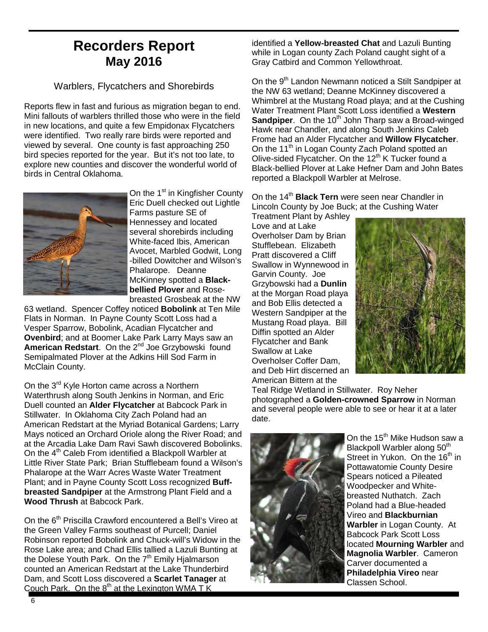## **Recorders Report May 2016**

#### Warblers, Flycatchers and Shorebirds

Reports flew in fast and furious as migration began to end. Mini fallouts of warblers thrilled those who were in the field in new locations, and quite a few Empidonax Flycatchers were identified. Two really rare birds were reported and viewed by several. One county is fast approaching 250 bird species reported for the year. But it's not too late, to explore new counties and discover the wonderful world of birds in Central Oklahoma.



On the 1<sup>st</sup> in Kingfisher County Eric Duell checked out Lightle Farms pasture SE of Hennessey and located several shorebirds including White-faced Ibis, American Avocet, Marbled Godwit, Long -billed Dowitcher and Wilson's Phalarope. Deanne McKinney spotted a **Blackbellied Plover** and Rosebreasted Grosbeak at the NW

63 wetland. Spencer Coffey noticed **Bobolink** at Ten Mile Flats in Norman. In Payne County Scott Loss had a Vesper Sparrow, Bobolink, Acadian Flycatcher and **Ovenbird**; and at Boomer Lake Park Larry Mays saw an American Redstart. On the 2<sup>nd</sup> Joe Grzybowski found Semipalmated Plover at the Adkins Hill Sod Farm in McClain County.

On the 3<sup>rd</sup> Kyle Horton came across a Northern Waterthrush along South Jenkins in Norman, and Eric Duell counted an **Alder Flycatcher** at Babcock Park in Stillwater. In Oklahoma City Zach Poland had an American Redstart at the Myriad Botanical Gardens; Larry Mays noticed an Orchard Oriole along the River Road; and at the Arcadia Lake Dam Ravi Sawh discovered Bobolinks. On the 4<sup>th</sup> Caleb From identified a Blackpoll Warbler at Little River State Park; Brian Stufflebeam found a Wilson's Phalarope at the Warr Acres Waste Water Treatment Plant; and in Payne County Scott Loss recognized **Buffbreasted Sandpiper** at the Armstrong Plant Field and a **Wood Thrush** at Babcock Park.

On the 6<sup>th</sup> Priscilla Crawford encountered a Bell's Vireo at the Green Valley Farms southeast of Purcell; Daniel Robinson reported Bobolink and Chuck-will's Widow in the Rose Lake area; and Chad Ellis tallied a Lazuli Bunting at the Dolese Youth Park. On the  $7<sup>th</sup>$  Emily Hjalmarson counted an American Redstart at the Lake Thunderbird Dam, and Scott Loss discovered a **Scarlet Tanager** at Couch Park. On the  $8<sup>th</sup>$  at the Lexington WMA T K

identified a **Yellow-breasted Chat** and Lazuli Bunting while in Logan county Zach Poland caught sight of a Gray Catbird and Common Yellowthroat.

On the 9<sup>th</sup> Landon Newmann noticed a Stilt Sandpiper at the NW 63 wetland; Deanne McKinney discovered a Whimbrel at the Mustang Road playa; and at the Cushing Water Treatment Plant Scott Loss identified a **Western Sandpiper**. On the 10<sup>th</sup> John Tharp saw a Broad-winged Hawk near Chandler, and along South Jenkins Caleb Frome had an Alder Flycatcher and **Willow Flycatcher**. On the 11<sup>th</sup> in Logan County Zach Poland spotted an Olive-sided Flycatcher. On the 12<sup>th</sup> K Tucker found a Black-bellied Plover at Lake Hefner Dam and John Bates reported a Blackpoll Warbler at Melrose.

On the 14<sup>th</sup> **Black Tern** were seen near Chandler in Lincoln County by Joe Buck; at the Cushing Water

Treatment Plant by Ashley Love and at Lake Overholser Dam by Brian Stufflebean. Elizabeth Pratt discovered a Cliff Swallow in Wynnewood in Garvin County. Joe Grzybowski had a **Dunlin** at the Morgan Road playa and Bob Ellis detected a Western Sandpiper at the Mustang Road playa. Bill Diffin spotted an Alder Flycatcher and Bank Swallow at Lake Overholser Coffer Dam, and Deb Hirt discerned an American Bittern at the



Teal Ridge Wetland in Stillwater. Roy Neher photographed a **Golden-crowned Sparrow** in Norman and several people were able to see or hear it at a later date.



On the 15<sup>th</sup> Mike Hudson saw a Blackpoll Warbler along 50<sup>th</sup> Street in Yukon. On the 16<sup>th</sup> in Pottawatomie County Desire Spears noticed a Pileated Woodpecker and Whitebreasted Nuthatch. Zach Poland had a Blue-headed Vireo and **Blackburnian Warbler** in Logan County. At Babcock Park Scott Loss located **Mourning Warbler** and **Magnolia Warbler**. Cameron Carver documented a **Philadelphia Vireo** near Classen School.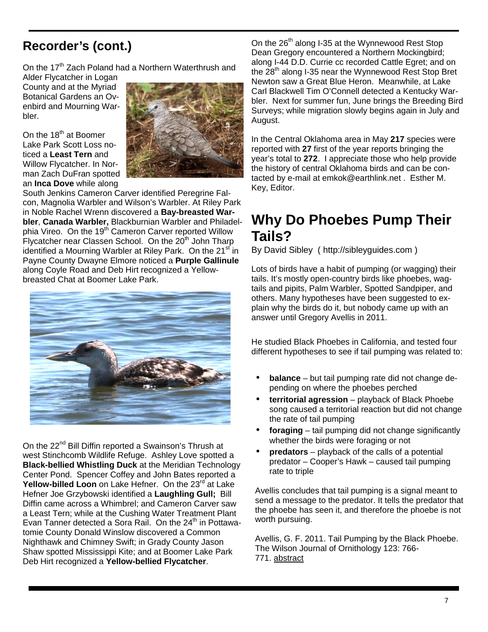## **Recorder's (cont.)**

On the 17<sup>th</sup> Zach Poland had a Northern Waterthrush and

Alder Flycatcher in Logan County and at the Myriad Botanical Gardens an Ovenbird and Mourning Warbler.

On the  $18<sup>th</sup>$  at Boomer Lake Park Scott Loss noticed a **Least Tern** and Willow Flycatcher. In Norman Zach DuFran spotted an **Inca Dove** while along



South Jenkins Cameron Carver identified Peregrine Falcon, Magnolia Warbler and Wilson's Warbler. At Riley Park in Noble Rachel Wrenn discovered a **Bay-breasted Warbler**, **Canada Warbler,** Blackburnian Warbler and Philadelphia Vireo. On the 19<sup>th</sup> Cameron Carver reported Willow Flycatcher near Classen School. On the 20<sup>th</sup> John Tharp identified a Mourning Warbler at Riley Park. On the 21<sup>st</sup> in Payne County Dwayne Elmore noticed a **Purple Gallinule** along Coyle Road and Deb Hirt recognized a Yellowbreasted Chat at Boomer Lake Park.



On the 22<sup>nd</sup> Bill Diffin reported a Swainson's Thrush at west Stinchcomb Wildlife Refuge. Ashley Love spotted a **Black-bellied Whistling Duck** at the Meridian Technology Center Pond. Spencer Coffey and John Bates reported a **Yellow-billed Loon** on Lake Hefner. On the 23<sup>rd</sup> at Lake Hefner Joe Grzybowski identified a **Laughling Gull;** Bill Diffin came across a Whimbrel; and Cameron Carver saw a Least Tern; while at the Cushing Water Treatment Plant Evan Tanner detected a Sora Rail. On the 24<sup>th</sup> in Pottawatomie County Donald Winslow discovered a Common Nighthawk and Chimney Swift; in Grady County Jason Shaw spotted Mississippi Kite; and at Boomer Lake Park Deb Hirt recognized a **Yellow-bellied Flycatcher**.

On the 26<sup>th</sup> along I-35 at the Wynnewood Rest Stop Dean Gregory encountered a Northern Mockingbird; along I-44 D.D. Currie cc recorded Cattle Egret; and on the 28<sup>th</sup> along I-35 near the Wynnewood Rest Stop Bret Newton saw a Great Blue Heron. Meanwhile, at Lake Carl Blackwell Tim O'Connell detected a Kentucky Warbler. Next for summer fun, June brings the Breeding Bird Surveys; while migration slowly begins again in July and August.

In the Central Oklahoma area in May **217** species were reported with **27** first of the year reports bringing the year's total to **272**. I appreciate those who help provide the history of central Oklahoma birds and can be contacted by e-mail at emkok@earthlink.net . Esther M. Key, Editor.

## **Why Do Phoebes Pump Their Tails?**

By David Sibley ( http://sibleyguides.com )

Lots of birds have a habit of pumping (or wagging) their tails. It's mostly open-country birds like phoebes, wagtails and pipits, Palm Warbler, Spotted Sandpiper, and others. Many hypotheses have been suggested to explain why the birds do it, but nobody came up with an answer until Gregory Avellis in 2011.

He studied Black Phoebes in California, and tested four different hypotheses to see if tail pumping was related to:

- **balance** but tail pumping rate did not change depending on where the phoebes perched
- **territorial agression** playback of Black Phoebe song caused a territorial reaction but did not change the rate of tail pumping
- **foraging** tail pumping did not change significantly whether the birds were foraging or not
- **predators** playback of the calls of a potential predator – Cooper's Hawk – caused tail pumping rate to triple

Avellis concludes that tail pumping is a signal meant to send a message to the predator. It tells the predator that the phoebe has seen it, and therefore the phoebe is not worth pursuing.

Avellis, G. F. 2011. Tail Pumping by the Black Phoebe. The Wilson Journal of Ornithology 123: 766- 771. abstract